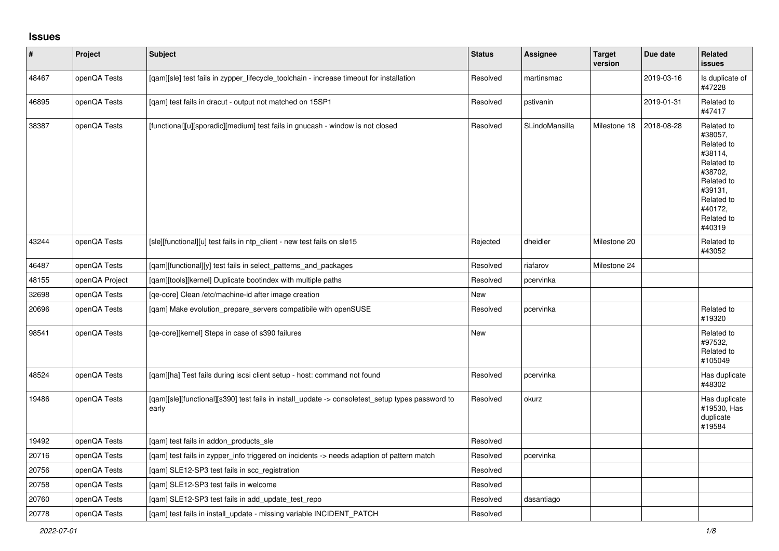## **Issues**

| $\vert$ # | Project        | <b>Subject</b>                                                                                            | <b>Status</b> | <b>Assignee</b> | <b>Target</b><br>version | Due date   | Related<br><b>issues</b>                                                                                                                          |
|-----------|----------------|-----------------------------------------------------------------------------------------------------------|---------------|-----------------|--------------------------|------------|---------------------------------------------------------------------------------------------------------------------------------------------------|
| 48467     | openQA Tests   | [qam][sle] test fails in zypper_lifecycle_toolchain - increase timeout for installation                   | Resolved      | martinsmac      |                          | 2019-03-16 | Is duplicate of<br>#47228                                                                                                                         |
| 46895     | openQA Tests   | [qam] test fails in dracut - output not matched on 15SP1                                                  | Resolved      | pstivanin       |                          | 2019-01-31 | Related to<br>#47417                                                                                                                              |
| 38387     | openQA Tests   | [functional][u][sporadic][medium] test fails in gnucash - window is not closed                            | Resolved      | SLindoMansilla  | Milestone 18             | 2018-08-28 | Related to<br>#38057,<br>Related to<br>#38114,<br>Related to<br>#38702,<br>Related to<br>#39131,<br>Related to<br>#40172,<br>Related to<br>#40319 |
| 43244     | openQA Tests   | [sle][functional][u] test fails in ntp_client - new test fails on sle15                                   | Rejected      | dheidler        | Milestone 20             |            | Related to<br>#43052                                                                                                                              |
| 46487     | openQA Tests   | [qam][functional][y] test fails in select_patterns_and_packages                                           | Resolved      | riafarov        | Milestone 24             |            |                                                                                                                                                   |
| 48155     | openQA Project | [qam][tools][kernel] Duplicate bootindex with multiple paths                                              | Resolved      | pcervinka       |                          |            |                                                                                                                                                   |
| 32698     | openQA Tests   | [qe-core] Clean /etc/machine-id after image creation                                                      | <b>New</b>    |                 |                          |            |                                                                                                                                                   |
| 20696     | openQA Tests   | [qam] Make evolution_prepare_servers compatibile with openSUSE                                            | Resolved      | pcervinka       |                          |            | Related to<br>#19320                                                                                                                              |
| 98541     | openQA Tests   | [qe-core][kernel] Steps in case of s390 failures                                                          | New           |                 |                          |            | Related to<br>#97532,<br>Related to<br>#105049                                                                                                    |
| 48524     | openQA Tests   | [qam][ha] Test fails during iscsi client setup - host: command not found                                  | Resolved      | pcervinka       |                          |            | Has duplicate<br>#48302                                                                                                                           |
| 19486     | openQA Tests   | [qam][sle][functional][s390] test fails in install_update -> consoletest_setup types password to<br>early | Resolved      | okurz           |                          |            | Has duplicate<br>#19530, Has<br>duplicate<br>#19584                                                                                               |
| 19492     | openQA Tests   | [qam] test fails in addon_products_sle                                                                    | Resolved      |                 |                          |            |                                                                                                                                                   |
| 20716     | openQA Tests   | [gam] test fails in zypper info triggered on incidents -> needs adaption of pattern match                 | Resolved      | pcervinka       |                          |            |                                                                                                                                                   |
| 20756     | openQA Tests   | [gam] SLE12-SP3 test fails in scc registration                                                            | Resolved      |                 |                          |            |                                                                                                                                                   |
| 20758     | openQA Tests   | [gam] SLE12-SP3 test fails in welcome                                                                     | Resolved      |                 |                          |            |                                                                                                                                                   |
| 20760     | openQA Tests   | [gam] SLE12-SP3 test fails in add update test repo                                                        | Resolved      | dasantiago      |                          |            |                                                                                                                                                   |
| 20778     | openQA Tests   | [gam] test fails in install update - missing variable INCIDENT PATCH                                      | Resolved      |                 |                          |            |                                                                                                                                                   |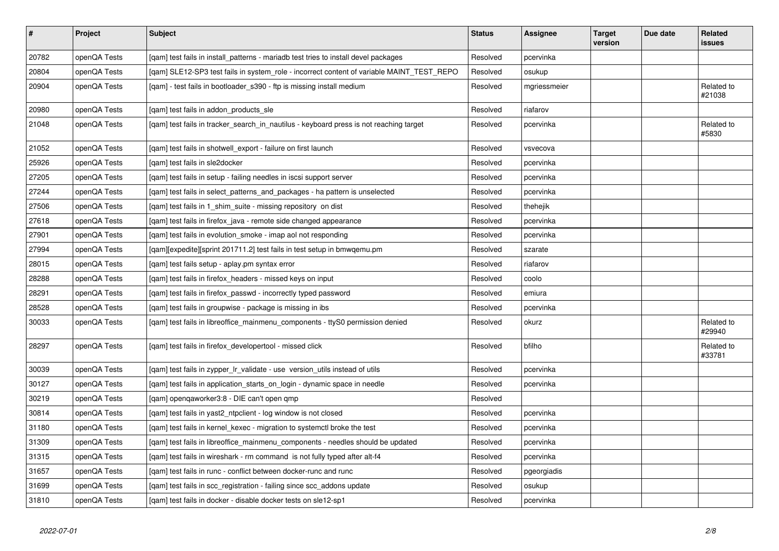| $\vert$ # | Project      | Subject                                                                                   | <b>Status</b> | Assignee     | <b>Target</b><br>version | Due date | Related<br>issues    |
|-----------|--------------|-------------------------------------------------------------------------------------------|---------------|--------------|--------------------------|----------|----------------------|
| 20782     | openQA Tests | [gam] test fails in install_patterns - mariadb test tries to install devel packages       | Resolved      | pcervinka    |                          |          |                      |
| 20804     | openQA Tests | [gam] SLE12-SP3 test fails in system role - incorrect content of variable MAINT TEST REPO | Resolved      | osukup       |                          |          |                      |
| 20904     | openQA Tests | [gam] - test fails in bootloader s390 - ftp is missing install medium                     | Resolved      | mgriessmeier |                          |          | Related to<br>#21038 |
| 20980     | openQA Tests | [gam] test fails in addon products sle                                                    | Resolved      | riafarov     |                          |          |                      |
| 21048     | openQA Tests | [gam] test fails in tracker search in nautilus - keyboard press is not reaching target    | Resolved      | pcervinka    |                          |          | Related to<br>#5830  |
| 21052     | openQA Tests | [gam] test fails in shotwell export - failure on first launch                             | Resolved      | vsvecova     |                          |          |                      |
| 25926     | openQA Tests | [qam] test fails in sle2docker                                                            | Resolved      | pcervinka    |                          |          |                      |
| 27205     | openQA Tests | [qam] test fails in setup - failing needles in iscsi support server                       | Resolved      | pcervinka    |                          |          |                      |
| 27244     | openQA Tests | [gam] test fails in select patterns and packages - ha pattern is unselected               | Resolved      | pcervinka    |                          |          |                      |
| 27506     | openQA Tests | [gam] test fails in 1 shim suite - missing repository on dist                             | Resolved      | thehejik     |                          |          |                      |
| 27618     | openQA Tests | [qam] test fails in firefox_java - remote side changed appearance                         | Resolved      | pcervinka    |                          |          |                      |
| 27901     | openQA Tests | [qam] test fails in evolution_smoke - imap aol not responding                             | Resolved      | pcervinka    |                          |          |                      |
| 27994     | openQA Tests | [gam][expedite][sprint 201711.2] test fails in test setup in bmwgemu.pm                   | Resolved      | szarate      |                          |          |                      |
| 28015     | openQA Tests | [qam] test fails setup - aplay.pm syntax error                                            | Resolved      | riafarov     |                          |          |                      |
| 28288     | openQA Tests | [qam] test fails in firefox_headers - missed keys on input                                | Resolved      | coolo        |                          |          |                      |
| 28291     | openQA Tests | [gam] test fails in firefox passwd - incorrectly typed password                           | Resolved      | emiura       |                          |          |                      |
| 28528     | openQA Tests | [gam] test fails in groupwise - package is missing in ibs                                 | Resolved      | pcervinka    |                          |          |                      |
| 30033     | openQA Tests | [qam] test fails in libreoffice_mainmenu_components - ttyS0 permission denied             | Resolved      | okurz        |                          |          | Related to<br>#29940 |
| 28297     | openQA Tests | [qam] test fails in firefox_developertool - missed click                                  | Resolved      | bfilho       |                          |          | Related to<br>#33781 |
| 30039     | openQA Tests | [gam] test fails in zypper Ir validate - use version utils instead of utils               | Resolved      | pcervinka    |                          |          |                      |
| 30127     | openQA Tests | [qam] test fails in application_starts_on_login - dynamic space in needle                 | Resolved      | pcervinka    |                          |          |                      |
| 30219     | openQA Tests | [qam] openqaworker3:8 - DIE can't open qmp                                                | Resolved      |              |                          |          |                      |
| 30814     | openQA Tests | [gam] test fails in yast2 ntpclient - log window is not closed                            | Resolved      | pcervinka    |                          |          |                      |
| 31180     | openQA Tests | [gam] test fails in kernel kexec - migration to systemctl broke the test                  | Resolved      | pcervinka    |                          |          |                      |
| 31309     | openQA Tests | [qam] test fails in libreoffice_mainmenu_components - needles should be updated           | Resolved      | pcervinka    |                          |          |                      |
| 31315     | openQA Tests | [gam] test fails in wireshark - rm command is not fully typed after alt-f4                | Resolved      | pcervinka    |                          |          |                      |
| 31657     | openQA Tests | [gam] test fails in runc - conflict between docker-runc and runc                          | Resolved      | pgeorgiadis  |                          |          |                      |
| 31699     | openQA Tests | [qam] test fails in scc_registration - failing since scc_addons update                    | Resolved      | osukup       |                          |          |                      |
| 31810     | openQA Tests | [qam] test fails in docker - disable docker tests on sle12-sp1                            | Resolved      | pcervinka    |                          |          |                      |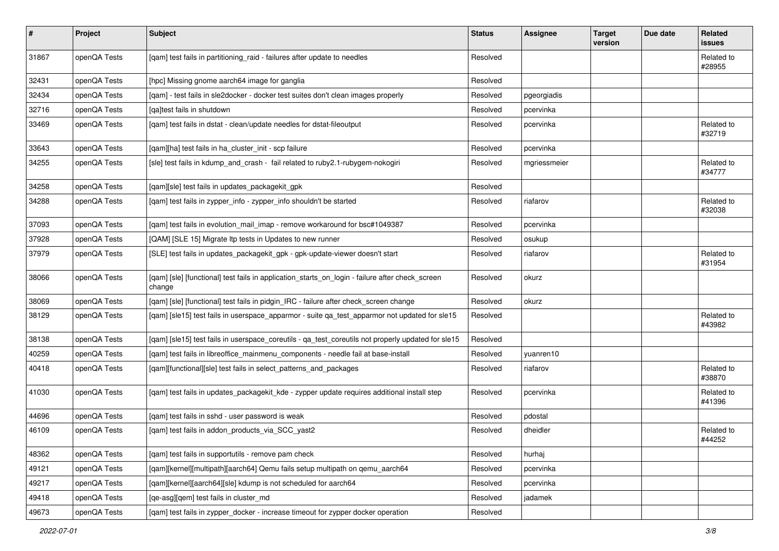| $\pmb{\#}$ | Project      | <b>Subject</b>                                                                                            | <b>Status</b> | <b>Assignee</b> | <b>Target</b><br>version | Due date | Related<br>issues    |
|------------|--------------|-----------------------------------------------------------------------------------------------------------|---------------|-----------------|--------------------------|----------|----------------------|
| 31867      | openQA Tests | [qam] test fails in partitioning_raid - failures after update to needles                                  | Resolved      |                 |                          |          | Related to<br>#28955 |
| 32431      | openQA Tests | [hpc] Missing gnome aarch64 image for ganglia                                                             | Resolved      |                 |                          |          |                      |
| 32434      | openQA Tests | [qam] - test fails in sle2docker - docker test suites don't clean images properly                         | Resolved      | pgeorgiadis     |                          |          |                      |
| 32716      | openQA Tests | [ga]test fails in shutdown                                                                                | Resolved      | pcervinka       |                          |          |                      |
| 33469      | openQA Tests | [gam] test fails in dstat - clean/update needles for dstat-fileoutput                                     | Resolved      | pcervinka       |                          |          | Related to<br>#32719 |
| 33643      | openQA Tests | [qam][ha] test fails in ha_cluster_init - scp failure                                                     | Resolved      | pcervinka       |                          |          |                      |
| 34255      | openQA Tests | [sle] test fails in kdump_and_crash - fail related to ruby2.1-rubygem-nokogiri                            | Resolved      | mgriessmeier    |                          |          | Related to<br>#34777 |
| 34258      | openQA Tests | [qam][sle] test fails in updates_packagekit_gpk                                                           | Resolved      |                 |                          |          |                      |
| 34288      | openQA Tests | [qam] test fails in zypper_info - zypper_info shouldn't be started                                        | Resolved      | riafarov        |                          |          | Related to<br>#32038 |
| 37093      | openQA Tests | [gam] test fails in evolution mail imap - remove workaround for bsc#1049387                               | Resolved      | pcervinka       |                          |          |                      |
| 37928      | openQA Tests | [QAM] [SLE 15] Migrate Itp tests in Updates to new runner                                                 | Resolved      | osukup          |                          |          |                      |
| 37979      | openQA Tests | [SLE] test fails in updates_packagekit_gpk - gpk-update-viewer doesn't start                              | Resolved      | riafarov        |                          |          | Related to<br>#31954 |
| 38066      | openQA Tests | [qam] [sle] [functional] test fails in application_starts_on_login - failure after check_screen<br>change | Resolved      | okurz           |                          |          |                      |
| 38069      | openQA Tests | [qam] [sle] [functional] test fails in pidgin_IRC - failure after check_screen change                     | Resolved      | okurz           |                          |          |                      |
| 38129      | openQA Tests | [qam] [sle15] test fails in userspace_apparmor - suite qa_test_apparmor not updated for sle15             | Resolved      |                 |                          |          | Related to<br>#43982 |
| 38138      | openQA Tests | [gam] [sle15] test fails in userspace coreutils - ga test coreutils not properly updated for sle15        | Resolved      |                 |                          |          |                      |
| 40259      | openQA Tests | [qam] test fails in libreoffice_mainmenu_components - needle fail at base-install                         | Resolved      | yuanren10       |                          |          |                      |
| 40418      | openQA Tests | [qam][functional][sle] test fails in select_patterns_and_packages                                         | Resolved      | riafarov        |                          |          | Related to<br>#38870 |
| 41030      | openQA Tests | [gam] test fails in updates_packagekit_kde - zypper update requires additional install step               | Resolved      | pcervinka       |                          |          | Related to<br>#41396 |
| 44696      | openQA Tests | [gam] test fails in sshd - user password is weak                                                          | Resolved      | pdostal         |                          |          |                      |
| 46109      | openQA Tests | [qam] test fails in addon_products_via_SCC_yast2                                                          | Resolved      | dheidler        |                          |          | Related to<br>#44252 |
| 48362      | openQA Tests | [qam] test fails in supportutils - remove pam check                                                       | Resolved      | hurhaj          |                          |          |                      |
| 49121      | openQA Tests | [qam][kernel][multipath][aarch64] Qemu fails setup multipath on qemu_aarch64                              | Resolved      | pcervinka       |                          |          |                      |
| 49217      | openQA Tests | [qam][kernel][aarch64][sle] kdump is not scheduled for aarch64                                            | Resolved      | pcervinka       |                          |          |                      |
| 49418      | openQA Tests | [qe-asg][qem] test fails in cluster_md                                                                    | Resolved      | jadamek         |                          |          |                      |
| 49673      | openQA Tests | [qam] test fails in zypper_docker - increase timeout for zypper docker operation                          | Resolved      |                 |                          |          |                      |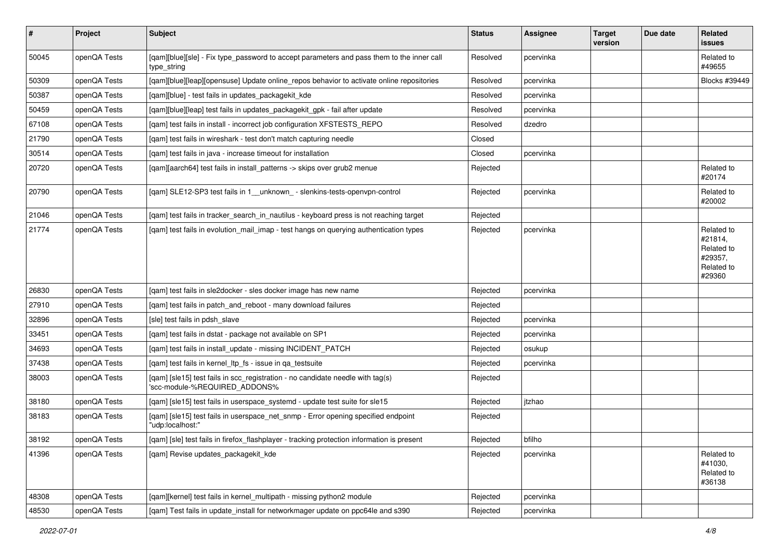| $\vert$ # | Project      | Subject                                                                                                         | <b>Status</b> | Assignee  | <b>Target</b><br>version | Due date | Related<br>issues                                                      |
|-----------|--------------|-----------------------------------------------------------------------------------------------------------------|---------------|-----------|--------------------------|----------|------------------------------------------------------------------------|
| 50045     | openQA Tests | [qam][blue][sle] - Fix type_password to accept parameters and pass them to the inner call<br>type_string        | Resolved      | pcervinka |                          |          | Related to<br>#49655                                                   |
| 50309     | openQA Tests | [gam][blue][leap][opensuse] Update online_repos behavior to activate online repositories                        | Resolved      | pcervinka |                          |          | Blocks #39449                                                          |
| 50387     | openQA Tests | [qam][blue] - test fails in updates_packagekit_kde                                                              | Resolved      | pcervinka |                          |          |                                                                        |
| 50459     | openQA Tests | [qam][blue][leap] test fails in updates_packagekit_gpk - fail after update                                      | Resolved      | pcervinka |                          |          |                                                                        |
| 67108     | openQA Tests | [gam] test fails in install - incorrect job configuration XFSTESTS REPO                                         | Resolved      | dzedro    |                          |          |                                                                        |
| 21790     | openQA Tests | [gam] test fails in wireshark - test don't match capturing needle                                               | Closed        |           |                          |          |                                                                        |
| 30514     | openQA Tests | [gam] test fails in java - increase timeout for installation                                                    | Closed        | pcervinka |                          |          |                                                                        |
| 20720     | openQA Tests | [qam][aarch64] test fails in install_patterns -> skips over grub2 menue                                         | Rejected      |           |                          |          | Related to<br>#20174                                                   |
| 20790     | openQA Tests | [qam] SLE12-SP3 test fails in 1_unknown_- slenkins-tests-openvpn-control                                        | Rejected      | pcervinka |                          |          | Related to<br>#20002                                                   |
| 21046     | openQA Tests | [gam] test fails in tracker search in nautilus - keyboard press is not reaching target                          | Rejected      |           |                          |          |                                                                        |
| 21774     | openQA Tests | [qam] test fails in evolution_mail_imap - test hangs on querying authentication types                           | Rejected      | pcervinka |                          |          | Related to<br>#21814,<br>Related to<br>#29357,<br>Related to<br>#29360 |
| 26830     | openQA Tests | [qam] test fails in sle2docker - sles docker image has new name                                                 | Rejected      | pcervinka |                          |          |                                                                        |
| 27910     | openQA Tests | [gam] test fails in patch and reboot - many download failures                                                   | Rejected      |           |                          |          |                                                                        |
| 32896     | openQA Tests | [sle] test fails in pdsh slave                                                                                  | Rejected      | pcervinka |                          |          |                                                                        |
| 33451     | openQA Tests | [qam] test fails in dstat - package not available on SP1                                                        | Rejected      | pcervinka |                          |          |                                                                        |
| 34693     | openQA Tests | [qam] test fails in install_update - missing INCIDENT_PATCH                                                     | Rejected      | osukup    |                          |          |                                                                        |
| 37438     | openQA Tests | [qam] test fails in kernel_ltp_fs - issue in qa_testsuite                                                       | Rejected      | pcervinka |                          |          |                                                                        |
| 38003     | openQA Tests | [qam] [sle15] test fails in scc_registration - no candidate needle with tag(s)<br>'scc-module-%REQUIRED_ADDONS% | Rejected      |           |                          |          |                                                                        |
| 38180     | openQA Tests | [qam] [sle15] test fails in userspace_systemd - update test suite for sle15                                     | Rejected      | itzhao    |                          |          |                                                                        |
| 38183     | openQA Tests | [gam] [sle15] test fails in userspace net snmp - Error opening specified endpoint<br>"udp:localhost:"           | Rejected      |           |                          |          |                                                                        |
| 38192     | openQA Tests | [qam] [sle] test fails in firefox_flashplayer - tracking protection information is present                      | Rejected      | bfilho    |                          |          |                                                                        |
| 41396     | openQA Tests | [qam] Revise updates_packagekit_kde                                                                             | Rejected      | pcervinka |                          |          | Related to<br>#41030,<br>Related to<br>#36138                          |
| 48308     | openQA Tests | [gam][kernel] test fails in kernel multipath - missing python2 module                                           | Rejected      | pcervinka |                          |          |                                                                        |
| 48530     | openQA Tests | [qam] Test fails in update_install for networkmager update on ppc64le and s390                                  | Rejected      | pcervinka |                          |          |                                                                        |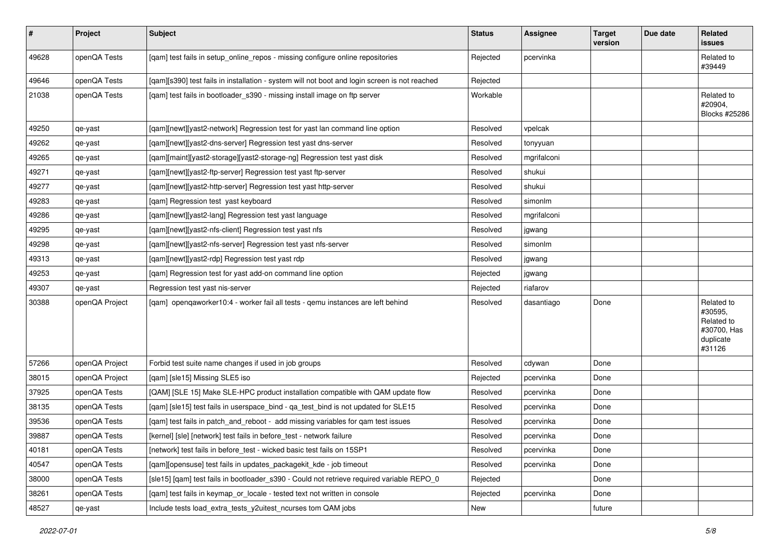| #     | Project        | <b>Subject</b>                                                                                | <b>Status</b> | Assignee    | <b>Target</b><br>version | Due date | Related<br>issues                                                         |
|-------|----------------|-----------------------------------------------------------------------------------------------|---------------|-------------|--------------------------|----------|---------------------------------------------------------------------------|
| 49628 | openQA Tests   | [qam] test fails in setup_online_repos - missing configure online repositories                | Rejected      | pcervinka   |                          |          | Related to<br>#39449                                                      |
| 49646 | openQA Tests   | [qam][s390] test fails in installation - system will not boot and login screen is not reached | Rejected      |             |                          |          |                                                                           |
| 21038 | openQA Tests   | [qam] test fails in bootloader_s390 - missing install image on ftp server                     | Workable      |             |                          |          | Related to<br>#20904,<br><b>Blocks #25286</b>                             |
| 49250 | qe-yast        | [gam][newt][yast2-network] Regression test for yast lan command line option                   | Resolved      | vpelcak     |                          |          |                                                                           |
| 49262 | qe-yast        | [qam][newt][yast2-dns-server] Regression test yast dns-server                                 | Resolved      | tonyyuan    |                          |          |                                                                           |
| 49265 | qe-yast        | [qam][maint][yast2-storage][yast2-storage-ng] Regression test yast disk                       | Resolved      | mgrifalconi |                          |          |                                                                           |
| 49271 | qe-yast        | [qam][newt][yast2-ftp-server] Regression test yast ftp-server                                 | Resolved      | shukui      |                          |          |                                                                           |
| 49277 | qe-yast        | [qam][newt][yast2-http-server] Regression test yast http-server                               | Resolved      | shukui      |                          |          |                                                                           |
| 49283 | qe-yast        | [gam] Regression test yast keyboard                                                           | Resolved      | simonlm     |                          |          |                                                                           |
| 49286 | qe-yast        | [qam][newt][yast2-lang] Regression test yast language                                         | Resolved      | mgrifalconi |                          |          |                                                                           |
| 49295 | qe-yast        | [qam][newt][yast2-nfs-client] Regression test yast nfs                                        | Resolved      | jgwang      |                          |          |                                                                           |
| 49298 | qe-yast        | [qam][newt][yast2-nfs-server] Regression test yast nfs-server                                 | Resolved      | simonlm     |                          |          |                                                                           |
| 49313 | qe-yast        | [qam][newt][yast2-rdp] Regression test yast rdp                                               | Resolved      | jgwang      |                          |          |                                                                           |
| 49253 | qe-yast        | [qam] Regression test for yast add-on command line option                                     | Rejected      | jgwang      |                          |          |                                                                           |
| 49307 | qe-yast        | Regression test yast nis-server                                                               | Rejected      | riafarov    |                          |          |                                                                           |
| 30388 | openQA Project | [qam] openqaworker10:4 - worker fail all tests - qemu instances are left behind               | Resolved      | dasantiago  | Done                     |          | Related to<br>#30595,<br>Related to<br>#30700, Has<br>duplicate<br>#31126 |
| 57266 | openQA Project | Forbid test suite name changes if used in job groups                                          | Resolved      | cdywan      | Done                     |          |                                                                           |
| 38015 | openQA Project | [qam] [sle15] Missing SLE5 iso                                                                | Rejected      | pcervinka   | Done                     |          |                                                                           |
| 37925 | openQA Tests   | [QAM] [SLE 15] Make SLE-HPC product installation compatible with QAM update flow              | Resolved      | pcervinka   | Done                     |          |                                                                           |
| 38135 | openQA Tests   | [qam] [sle15] test fails in userspace_bind - qa_test_bind is not updated for SLE15            | Resolved      | pcervinka   | Done                     |          |                                                                           |
| 39536 | openQA Tests   | [gam] test fails in patch and reboot - add missing variables for gam test issues              | Resolved      | pcervinka   | Done                     |          |                                                                           |
| 39887 | openQA Tests   | [kernel] [sle] [network] test fails in before_test - network failure                          | Resolved      | pcervinka   | Done                     |          |                                                                           |
| 40181 | openQA Tests   | [network] test fails in before test - wicked basic test fails on 15SP1                        | Resolved      | pcervinka   | Done                     |          |                                                                           |
| 40547 | openQA Tests   | [qam][opensuse] test fails in updates_packagekit_kde - job timeout                            | Resolved      | pcervinka   | Done                     |          |                                                                           |
| 38000 | openQA Tests   | [sle15] [gam] test fails in bootloader s390 - Could not retrieve required variable REPO 0     | Rejected      |             | Done                     |          |                                                                           |
| 38261 | openQA Tests   | [qam] test fails in keymap_or_locale - tested text not written in console                     | Rejected      | pcervinka   | Done                     |          |                                                                           |
| 48527 | qe-yast        | Include tests load_extra_tests_y2uitest_ncurses tom QAM jobs                                  | New           |             | future                   |          |                                                                           |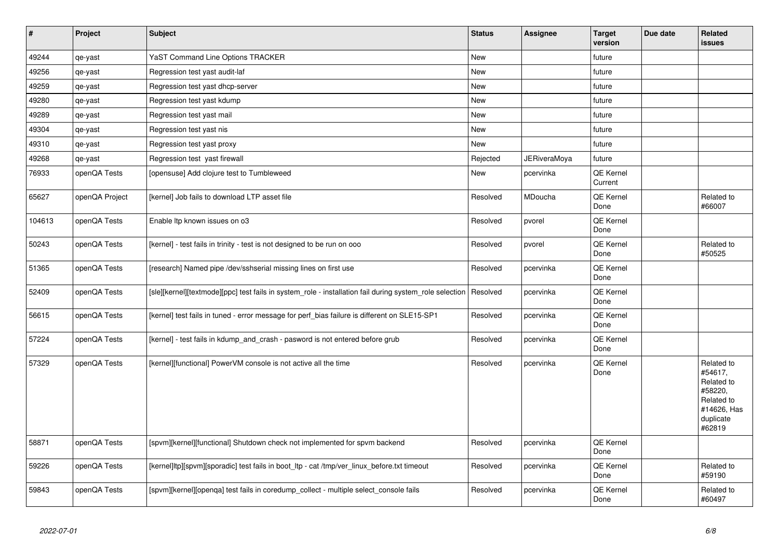| $\vert$ # | Project        | <b>Subject</b>                                                                                          | <b>Status</b> | Assignee            | <b>Target</b><br>version    | Due date | <b>Related</b><br><b>issues</b>                                                                    |
|-----------|----------------|---------------------------------------------------------------------------------------------------------|---------------|---------------------|-----------------------------|----------|----------------------------------------------------------------------------------------------------|
| 49244     | qe-yast        | <b>YaST Command Line Options TRACKER</b>                                                                | <b>New</b>    |                     | future                      |          |                                                                                                    |
| 49256     | qe-yast        | Regression test yast audit-laf                                                                          | New           |                     | future                      |          |                                                                                                    |
| 49259     | qe-yast        | Regression test yast dhcp-server                                                                        | New           |                     | future                      |          |                                                                                                    |
| 49280     | qe-yast        | Regression test yast kdump                                                                              | New           |                     | future                      |          |                                                                                                    |
| 49289     | qe-yast        | Regression test yast mail                                                                               | New           |                     | future                      |          |                                                                                                    |
| 49304     | qe-yast        | Regression test yast nis                                                                                | New           |                     | future                      |          |                                                                                                    |
| 49310     | qe-yast        | Regression test yast proxy                                                                              | New           |                     | future                      |          |                                                                                                    |
| 49268     | qe-yast        | Regression test yast firewall                                                                           | Rejected      | <b>JERiveraMoya</b> | future                      |          |                                                                                                    |
| 76933     | openQA Tests   | [opensuse] Add clojure test to Tumbleweed                                                               | <b>New</b>    | pcervinka           | <b>QE Kernel</b><br>Current |          |                                                                                                    |
| 65627     | openQA Project | [kernel] Job fails to download LTP asset file                                                           | Resolved      | MDoucha             | <b>QE Kernel</b><br>Done    |          | Related to<br>#66007                                                                               |
| 104613    | openQA Tests   | Enable Itp known issues on o3                                                                           | Resolved      | pvorel              | QE Kernel<br>Done           |          |                                                                                                    |
| 50243     | openQA Tests   | [kernel] - test fails in trinity - test is not designed to be run on ooo                                | Resolved      | pvorel              | QE Kernel<br>Done           |          | Related to<br>#50525                                                                               |
| 51365     | openQA Tests   | [research] Named pipe /dev/sshserial missing lines on first use                                         | Resolved      | pcervinka           | QE Kernel<br>Done           |          |                                                                                                    |
| 52409     | openQA Tests   | [sle][kernel][textmode][ppc] test fails in system role - installation fail during system role selection | Resolved      | pcervinka           | QE Kernel<br>Done           |          |                                                                                                    |
| 56615     | openQA Tests   | [kernel] test fails in tuned - error message for perf bias failure is different on SLE15-SP1            | Resolved      | pcervinka           | <b>QE Kernel</b><br>Done    |          |                                                                                                    |
| 57224     | openQA Tests   | [kernel] - test fails in kdump and crash - pasword is not entered before grub                           | Resolved      | pcervinka           | QE Kernel<br>Done           |          |                                                                                                    |
| 57329     | openQA Tests   | [kernel][functional] PowerVM console is not active all the time                                         | Resolved      | pcervinka           | <b>QE Kernel</b><br>Done    |          | Related to<br>#54617,<br>Related to<br>#58220,<br>Related to<br>#14626, Has<br>duplicate<br>#62819 |
| 58871     | openQA Tests   | [spvm][kernel][functional] Shutdown check not implemented for spvm backend                              | Resolved      | pcervinka           | QE Kernel<br>Done           |          |                                                                                                    |
| 59226     | openQA Tests   | [kernel]ltp][spvm][sporadic] test fails in boot_ltp - cat /tmp/ver_linux_before.txt timeout             | Resolved      | pcervinka           | QE Kernel<br>Done           |          | Related to<br>#59190                                                                               |
| 59843     | openQA Tests   | [spvm][kernel][openqa] test fails in coredump_collect - multiple select_console fails                   | Resolved      | pcervinka           | QE Kernel<br>Done           |          | Related to<br>#60497                                                                               |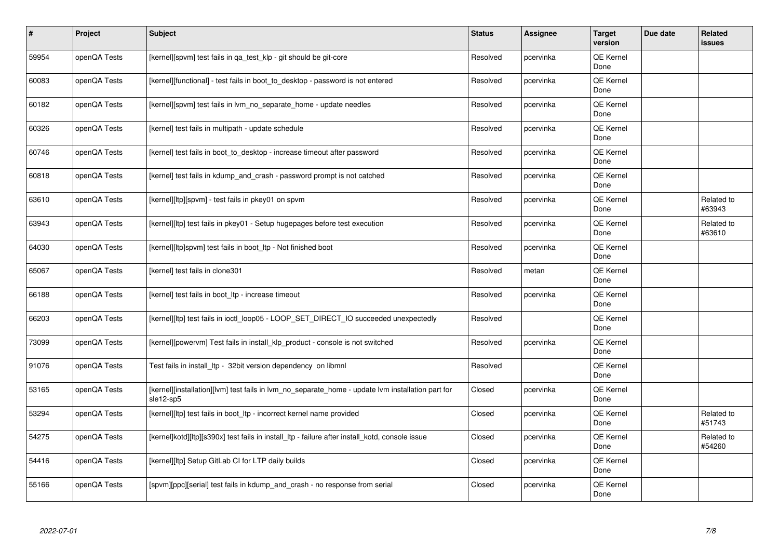| #     | Project      | <b>Subject</b>                                                                                                 | <b>Status</b> | <b>Assignee</b> | <b>Target</b><br>version | Due date | <b>Related</b><br><b>issues</b> |
|-------|--------------|----------------------------------------------------------------------------------------------------------------|---------------|-----------------|--------------------------|----------|---------------------------------|
| 59954 | openQA Tests | [kernel][spvm] test fails in qa_test_klp - git should be git-core                                              | Resolved      | pcervinka       | <b>QE Kernel</b><br>Done |          |                                 |
| 60083 | openQA Tests | [kernel][functional] - test fails in boot to desktop - password is not entered                                 | Resolved      | pcervinka       | <b>QE Kernel</b><br>Done |          |                                 |
| 60182 | openQA Tests | [kernel][spvm] test fails in lvm no separate home - update needles                                             | Resolved      | pcervinka       | QE Kernel<br>Done        |          |                                 |
| 60326 | openQA Tests | [kernel] test fails in multipath - update schedule                                                             | Resolved      | pcervinka       | <b>QE Kernel</b><br>Done |          |                                 |
| 60746 | openQA Tests | [kernel] test fails in boot to desktop - increase timeout after password                                       | Resolved      | pcervinka       | <b>QE Kernel</b><br>Done |          |                                 |
| 60818 | openQA Tests | [kernel] test fails in kdump_and_crash - password prompt is not catched                                        | Resolved      | pcervinka       | QE Kernel<br>Done        |          |                                 |
| 63610 | openQA Tests | [kernel][ltp][spvm] - test fails in pkey01 on spvm                                                             | Resolved      | pcervinka       | QE Kernel<br>Done        |          | Related to<br>#63943            |
| 63943 | openQA Tests | [kernel][ltp] test fails in pkey01 - Setup hugepages before test execution                                     | Resolved      | pcervinka       | QE Kernel<br>Done        |          | Related to<br>#63610            |
| 64030 | openQA Tests | [kernel][ltp]spvm] test fails in boot Itp - Not finished boot                                                  | Resolved      | pcervinka       | QE Kernel<br>Done        |          |                                 |
| 65067 | openQA Tests | [kernel] test fails in clone301                                                                                | Resolved      | metan           | <b>QE Kernel</b><br>Done |          |                                 |
| 66188 | openQA Tests | [kernel] test fails in boot Itp - increase timeout                                                             | Resolved      | pcervinka       | QE Kernel<br>Done        |          |                                 |
| 66203 | openQA Tests | [kernel][ltp] test fails in ioctl_loop05 - LOOP_SET_DIRECT_IO succeeded unexpectedly                           | Resolved      |                 | <b>QE Kernel</b><br>Done |          |                                 |
| 73099 | openQA Tests | [kernel][powervm] Test fails in install klp product - console is not switched                                  | Resolved      | pcervinka       | <b>QE Kernel</b><br>Done |          |                                 |
| 91076 | openQA Tests | Test fails in install_ltp - 32bit version dependency on libmnl                                                 | Resolved      |                 | <b>QE Kernel</b><br>Done |          |                                 |
| 53165 | openQA Tests | [kernel][installation][lvm] test fails in lvm no separate home - update lvm installation part for<br>sle12-sp5 | Closed        | pcervinka       | QE Kernel<br>Done        |          |                                 |
| 53294 | openQA Tests | [kernel][ltp] test fails in boot_ltp - incorrect kernel name provided                                          | Closed        | pcervinka       | <b>QE Kernel</b><br>Done |          | Related to<br>#51743            |
| 54275 | openQA Tests | [kernel]kotd][ltp][s390x] test fails in install ltp - failure after install kotd, console issue                | Closed        | pcervinka       | QE Kernel<br>Done        |          | Related to<br>#54260            |
| 54416 | openQA Tests | [kernel][ltp] Setup GitLab CI for LTP daily builds                                                             | Closed        | pcervinka       | <b>QE Kernel</b><br>Done |          |                                 |
| 55166 | openQA Tests | [spvm][ppc][serial] test fails in kdump and crash - no response from serial                                    | Closed        | pcervinka       | QE Kernel<br>Done        |          |                                 |